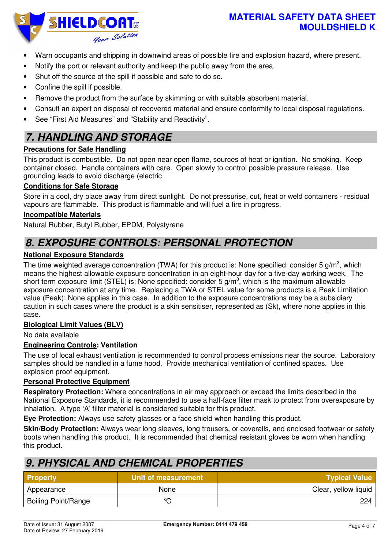### **MATERIAL SAFETY DATA SHEET MOULDSHIELD K**

- Warn occupants and shipping in downwind areas of possible fire and explosion hazard, where present.
- Notify the port or relevant authority and keep the public away from the area.
- Shut off the source of the spill if possible and safe to do so.
- Confine the spill if possible.
- Remove the product from the surface by skimming or with suitable absorbent material.
- Consult an expert on disposal of recovered material and ensure conformity to local disposal regulations.
- See "First Aid Measures" and "Stability and Reactivity".

## **7. HANDLING AND STORAGE**

#### **Precautions for Safe Handling**

This product is combustible. Do not open near open flame, sources of heat or ignition. No smoking. Keep container closed. Handle containers with care. Open slowly to control possible pressure release. Use grounding leads to avoid discharge (electric

#### **Conditions for Safe Storage**

Store in a cool, dry place away from direct sunlight. Do not pressurise, cut, heat or weld containers - residual vapours are flammable. This product is flammable and will fuel a fire in progress.

#### **Incompatible Materials**

Natural Rubber, Butyl Rubber, EPDM, Polystyrene

## **8. EXPOSURE CONTROLS: PERSONAL PROTECTION**

#### **National Exposure Standards**

The time weighted average concentration (TWA) for this product is: None specified: consider 5 g/m<sup>3</sup>, which means the highest allowable exposure concentration in an eight-hour day for a five-day working week. The short term exposure limit (STEL) is: None specified: consider 5 g/m<sup>3</sup>, which is the maximum allowable exposure concentration at any time. Replacing a TWA or STEL value for some products is a Peak Limitation value (Peak): None applies in this case. In addition to the exposure concentrations may be a subsidiary caution in such cases where the product is a skin sensitiser, represented as (Sk), where none applies in this case.

#### **Biological Limit Values (BLV)**

No data available

#### **Engineering Controls: Ventilation**

The use of local exhaust ventilation is recommended to control process emissions near the source. Laboratory samples should be handled in a fume hood. Provide mechanical ventilation of confined spaces. Use explosion proof equipment.

#### **Personal Protective Equipment**

**Respiratory Protection:** Where concentrations in air may approach or exceed the limits described in the National Exposure Standards, it is recommended to use a half-face filter mask to protect from overexposure by inhalation. A type 'A' filter material is considered suitable for this product.

**Eye Protection:** Always use safety glasses or a face shield when handling this product.

**Skin/Body Protection:** Always wear long sleeves, long trousers, or coveralls, and enclosed footwear or safety boots when handling this product. It is recommended that chemical resistant gloves be worn when handling this product.

## **9. PHYSICAL AND CHEMICAL PROPERTIES**

| <b>Property</b>            | Unit of measurement | <b>Typical Value</b> |
|----------------------------|---------------------|----------------------|
| Appearance                 | None                | Clear, yellow liquid |
| <b>Boiling Point/Range</b> | $\sim$              | 224                  |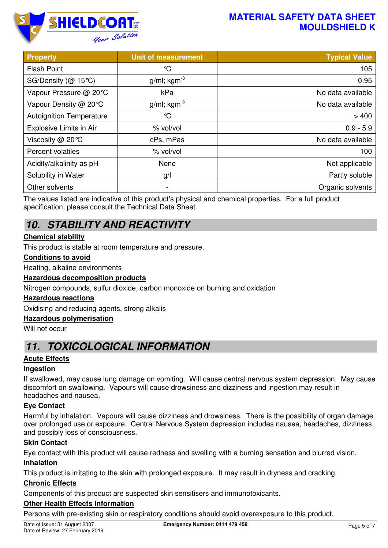## **MATERIAL SAFETY DATA SHEET MOULDSHIELD K**



| <b>Property</b>                 | <b>Unit of measurement</b> | <b>Typical Value</b> |
|---------------------------------|----------------------------|----------------------|
| <b>Flash Point</b>              | ℃                          | 105                  |
| SG/Density ( $@$ 15 °C)         | $g/ml$ ; kgm <sup>-3</sup> | 0.95                 |
| Vapour Pressure @ 20℃           | kPa                        | No data available    |
| Vapour Density @ 20℃            | $g/ml$ ; kgm <sup>-3</sup> | No data available    |
| <b>Autoignition Temperature</b> | $\mathrm{C}$               | >400                 |
| Explosive Limits in Air         | % vol/vol                  | $0.9 - 5.9$          |
| Viscosity @ 20°C                | cPs, mPas                  | No data available    |
| Percent volatiles               | % vol/vol                  | 100                  |
| Acidity/alkalinity as pH        | None                       | Not applicable       |
| Solubility in Water             | g/l                        | Partly soluble       |
| Other solvents                  | $\overline{\phantom{a}}$   | Organic solvents     |

The values listed are indicative of this product's physical and chemical properties. For a full product specification, please consult the Technical Data Sheet.

# **10. STABILITY AND REACTIVITY**

### **Chemical stability**

This product is stable at room temperature and pressure.

#### **Conditions to avoid**

Heating, alkaline environments

#### **Hazardous decomposition products**

Nitrogen compounds, sulfur dioxide, carbon monoxide on burning and oxidation

#### **Hazardous reactions**

Oxidising and reducing agents, strong alkalis

#### **Hazardous polymerisation**

Will not occur

## **11. TOXICOLOGICAL INFORMATION**

#### **Acute Effects**

#### **Ingestion**

If swallowed, may cause lung damage on vomiting. Will cause central nervous system depression. May cause discomfort on swallowing. Vapours will cause drowsiness and dizziness and ingestion may result in headaches and nausea.

#### **Eye Contact**

Harmful by inhalation. Vapours will cause dizziness and drowsiness. There is the possibility of organ damage over prolonged use or exposure. Central Nervous System depression includes nausea, headaches, dizziness, and possibly loss of consciousness.

#### **Skin Contact**

Eye contact with this product will cause redness and swelling with a burning sensation and blurred vision.

#### **Inhalation**

This product is irritating to the skin with prolonged exposure. It may result in dryness and cracking.

#### **Chronic Effects**

Components of this product are suspected skin sensitisers and immunotoxicants.

#### **Other Health Effects Information**

Persons with pre-existing skin or respiratory conditions should avoid overexposure to this product.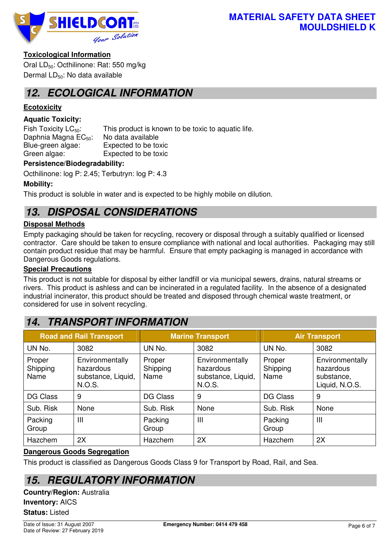

### **Toxicological Information**

Oral LD<sub>50</sub>: Octhilinone: Rat: 550 mg/kg Dermal LD<sub>50</sub>: No data available

## **12. ECOLOGICAL INFORMATION**

### **Ecotoxicity**

### **Aquatic Toxicity:**

Fish Toxicity  $LC_{50}$ : This product is known to be toxic to aquatic life. Daphnia Magna  $EC_{50}$ : No data available<br>Blue-green algae: Expected to be to Expected to be toxic Green algae: Expected to be toxic

#### **Persistence/Biodegradability:**

Octhilinone: log P: 2.45; Terbutryn: log P: 4.3

### **Mobility:**

This product is soluble in water and is expected to be highly mobile on dilution.

# **13. DISPOSAL CONSIDERATIONS**

### **Disposal Methods**

Empty packaging should be taken for recycling, recovery or disposal through a suitably qualified or licensed contractor. Care should be taken to ensure compliance with national and local authorities. Packaging may still contain product residue that may be harmful. Ensure that empty packaging is managed in accordance with Dangerous Goods regulations.

#### **Special Precautions**

This product is not suitable for disposal by either landfill or via municipal sewers, drains, natural streams or rivers. This product is ashless and can be incinerated in a regulated facility. In the absence of a designated industrial incinerator, this product should be treated and disposed through chemical waste treatment, or considered for use in solvent recycling.

## **14. TRANSPORT INFORMATION**

| <b>Road and Rail Transport</b> |                                                              | <b>Marine Transport</b>    |                                                              | <b>Air Transport</b>       |                                                              |
|--------------------------------|--------------------------------------------------------------|----------------------------|--------------------------------------------------------------|----------------------------|--------------------------------------------------------------|
| UN No.                         | 3082                                                         | UN No.                     | 3082                                                         | UN No.                     | 3082                                                         |
| Proper<br>Shipping<br>Name     | Environmentally<br>hazardous<br>substance, Liquid,<br>N.O.S. | Proper<br>Shipping<br>Name | Environmentally<br>hazardous<br>substance, Liquid,<br>N.O.S. | Proper<br>Shipping<br>Name | Environmentally<br>hazardous<br>substance,<br>Liquid, N.O.S. |
| <b>DG Class</b>                | 9                                                            | <b>DG Class</b>            | 9                                                            | <b>DG Class</b>            | 9                                                            |
| Sub. Risk                      | None                                                         | Sub. Risk                  | None                                                         | Sub. Risk                  | None                                                         |
| Packing<br>Group               | Ш                                                            | Packing<br>Group           | Ш                                                            | Packing<br>Group           | $\mathbf{III}$                                               |
| Hazchem                        | 2X                                                           | Hazchem                    | 2X                                                           | Hazchem                    | 2X                                                           |

#### **Dangerous Goods Segregation**

This product is classified as Dangerous Goods Class 9 for Transport by Road, Rail, and Sea.

## **15. REGULATORY INFORMATION**

**Country/Region:** Australia **Inventory:** AICS **Status:** Listed